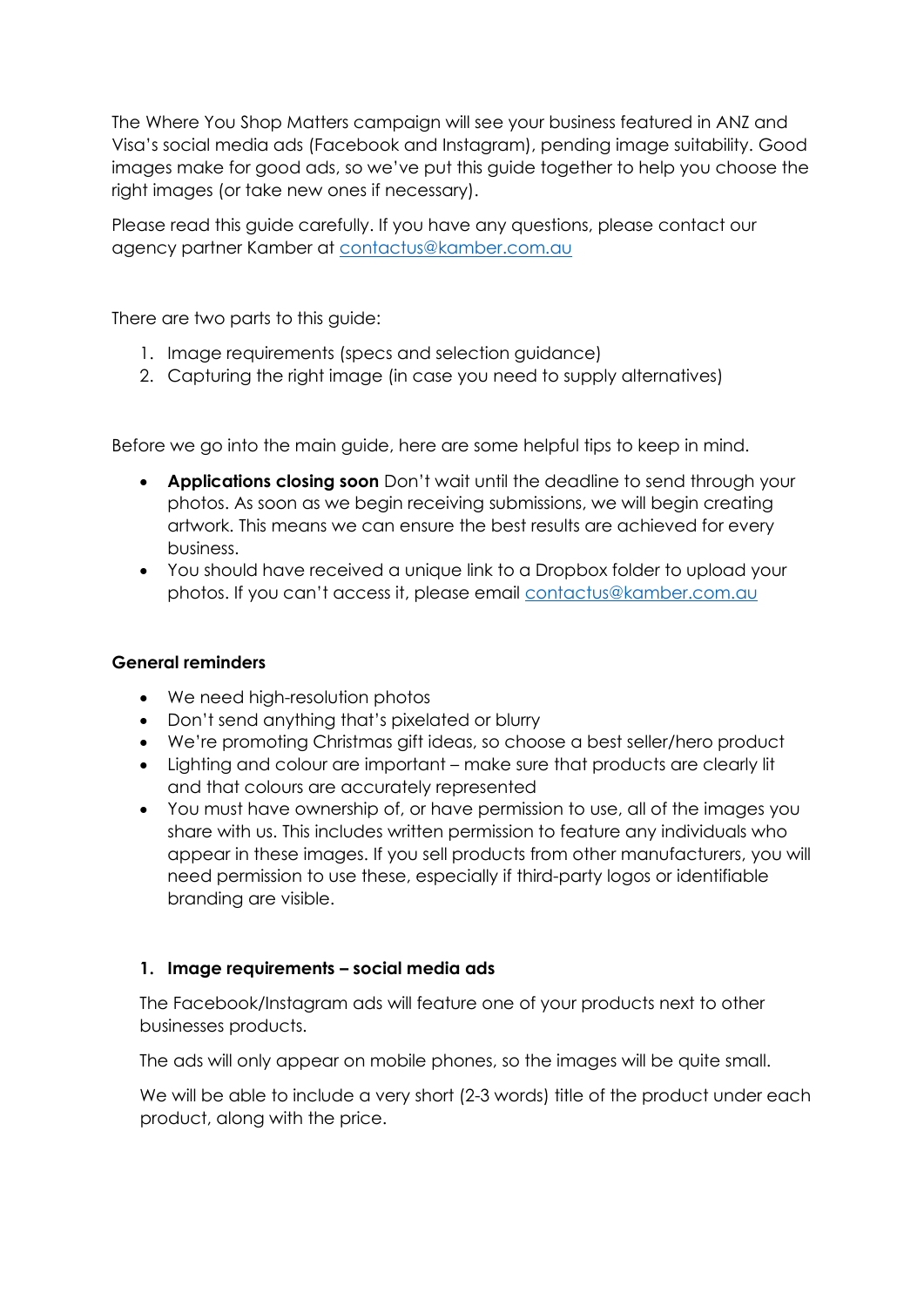The Where You Shop Matters campaign will see your business featured in ANZ and Visa's social media ads (Facebook and Instagram), pending image suitability. Good images make for good ads, so we've put this guide together to help you choose the right images (or take new ones if necessary).

Please read this guide carefully. If you have any questions, please contact our agency partner Kamber at [contactus@kamber.com.au](mailto:contactus@kamber.com.au)

There are two parts to this guide:

- 1. Image requirements (specs and selection guidance)
- 2. Capturing the right image (in case you need to supply alternatives)

Before we go into the main guide, here are some helpful tips to keep in mind.

- **Applications closing soon** Don't wait until the deadline to send through your photos. As soon as we begin receiving submissions, we will begin creating artwork. This means we can ensure the best results are achieved for every business.
- You should have received a unique link to a Dropbox folder to upload your photos. If you can't access it, please email [contactus@kamber.com.au](mailto:contactus@kamber.com.au)

# **General reminders**

- We need high-resolution photos
- Don't send anything that's pixelated or blurry
- We're promoting Christmas gift ideas, so choose a best seller/hero product
- Lighting and colour are important make sure that products are clearly lit and that colours are accurately represented
- You must have ownership of, or have permission to use, all of the images you share with us. This includes written permission to feature any individuals who appear in these images. If you sell products from other manufacturers, you will need permission to use these, especially if third-party logos or identifiable branding are visible.

# **1. Image requirements – social media ads**

The Facebook/Instagram ads will feature one of your products next to other businesses products.

The ads will only appear on mobile phones, so the images will be quite small.

We will be able to include a very short (2-3 words) title of the product under each product, along with the price.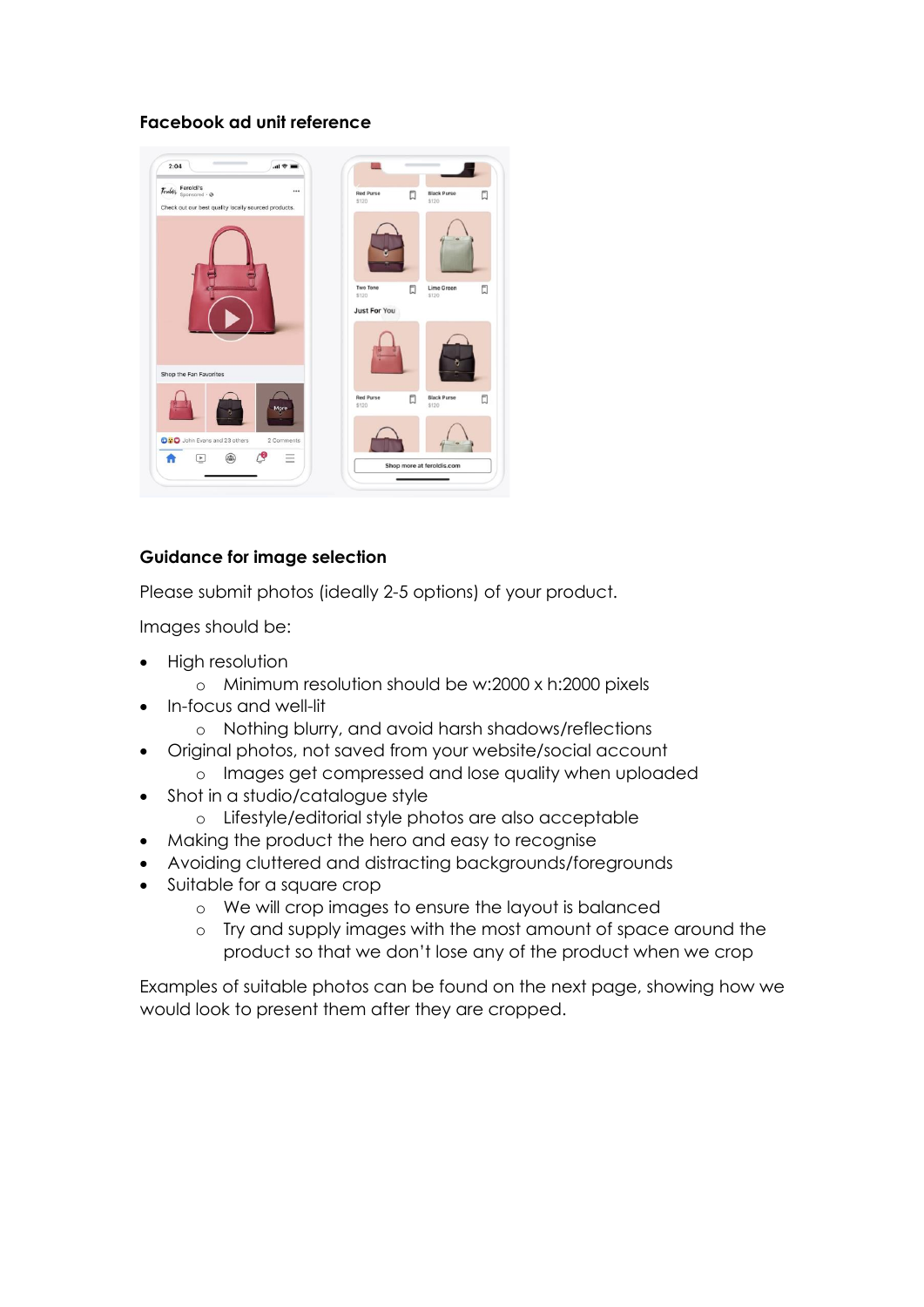## **Facebook ad unit reference**



## **Guidance for image selection**

Please submit photos (ideally 2-5 options) of your product.

Images should be:

- High resolution
	- o Minimum resolution should be w:2000 x h:2000 pixels
- In-focus and well-lit
	- o Nothing blurry, and avoid harsh shadows/reflections
- Original photos, not saved from your website/social account
	- o Images get compressed and lose quality when uploaded
- Shot in a studio/catalogue style
	- o Lifestyle/editorial style photos are also acceptable
- Making the product the hero and easy to recognise
- Avoiding cluttered and distracting backgrounds/foregrounds
- Suitable for a square crop
	- o We will crop images to ensure the layout is balanced
	- o Try and supply images with the most amount of space around the product so that we don't lose any of the product when we crop

Examples of suitable photos can be found on the next page, showing how we would look to present them after they are cropped.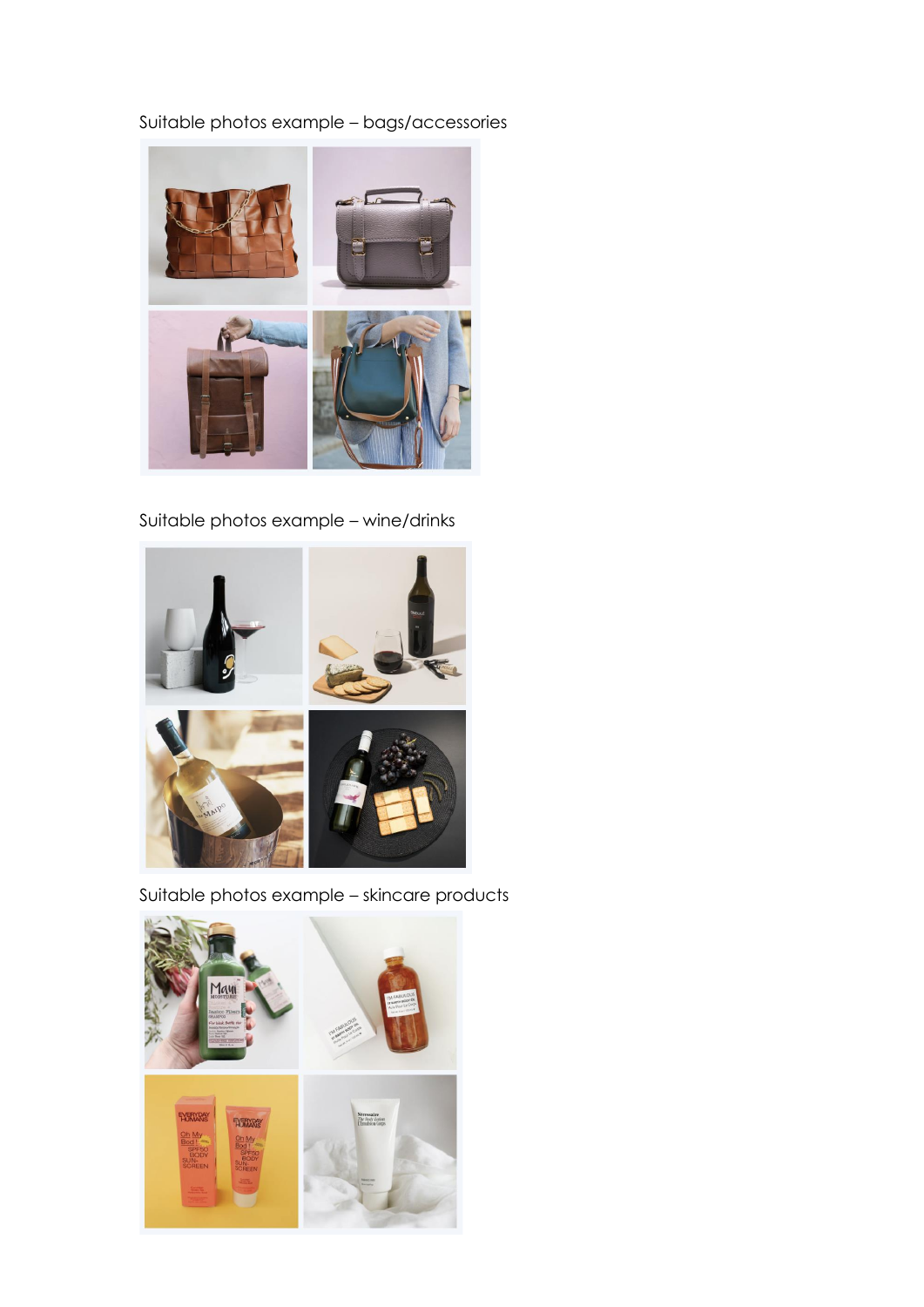# Suitable photos example – bags/accessories



Suitable photos example – wine/drinks



Suitable photos example – skincare products

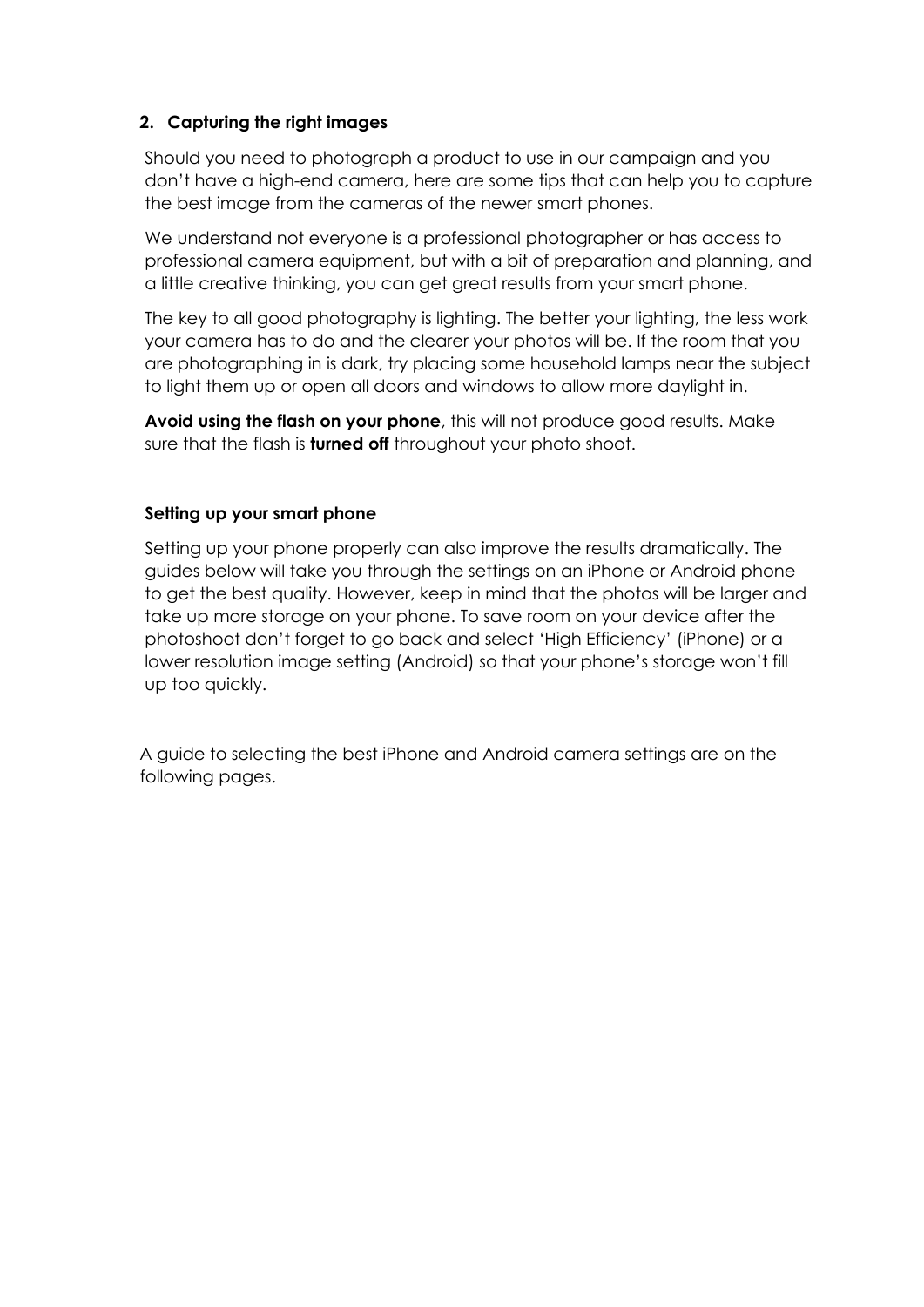# **2. Capturing the right images**

Should you need to photograph a product to use in our campaign and you don't have a high-end camera, here are some tips that can help you to capture the best image from the cameras of the newer smart phones.

We understand not everyone is a professional photographer or has access to professional camera equipment, but with a bit of preparation and planning, and a little creative thinking, you can get great results from your smart phone.

The key to all good photography is lighting. The better your lighting, the less work your camera has to do and the clearer your photos will be. If the room that you are photographing in is dark, try placing some household lamps near the subject to light them up or open all doors and windows to allow more daylight in.

**Avoid using the flash on your phone**, this will not produce good results. Make sure that the flash is **turned off** throughout your photo shoot.

## **Setting up your smart phone**

Setting up your phone properly can also improve the results dramatically. The guides below will take you through the settings on an iPhone or Android phone to get the best quality. However, keep in mind that the photos will be larger and take up more storage on your phone. To save room on your device after the photoshoot don't forget to go back and select 'High Efficiency' (iPhone) or a lower resolution image setting (Android) so that your phone's storage won't fill up too quickly.

A guide to selecting the best iPhone and Android camera settings are on the following pages.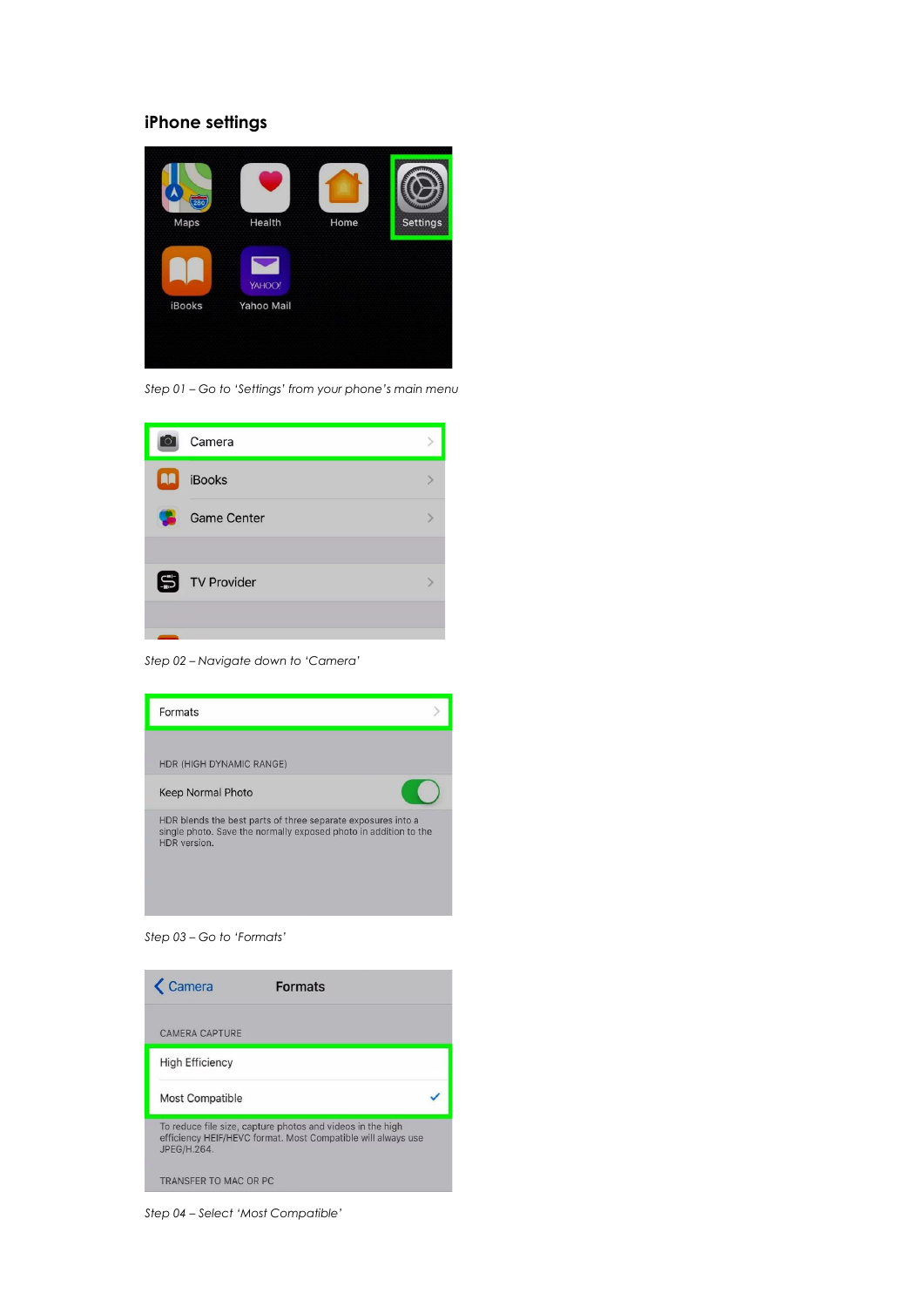### **iPhone settings**



*Step 01 – Go to 'Settings' from your phone's main menu*

|     | Camera             |  |
|-----|--------------------|--|
| LU. | <b>iBooks</b>      |  |
| œ   | <b>Game Center</b> |  |
|     |                    |  |
|     | <b>TV Provider</b> |  |
|     |                    |  |
|     |                    |  |

*Step 02 – Navigate down to 'Camera'*



*Step 03 – Go to 'Formats'*



*Step 04 – Select 'Most Compatible'*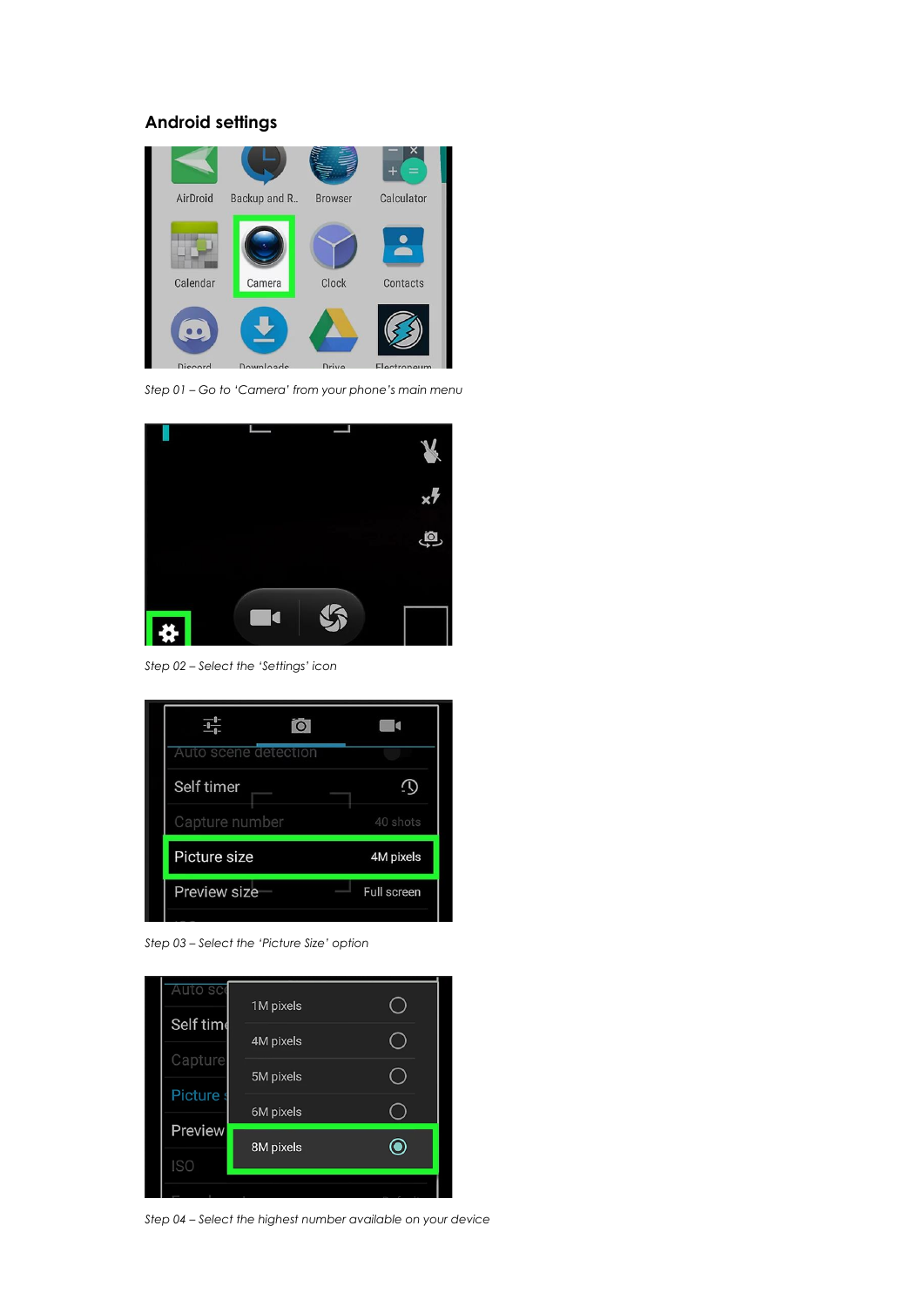### **Android settings**



*Step 01 – Go to 'Camera' from your phone's main menu*



*Step 02 – Select the 'Settings' icon*

| O                    |             |
|----------------------|-------------|
| Auto scene detection |             |
| Self timer           |             |
| Capture number       | 40 shots    |
| Picture size         | 4M pixels   |
| Preview size         | Full screen |

*Step 03 – Select the 'Picture Size' option*



*Step 04 – Select the highest number available on your device*